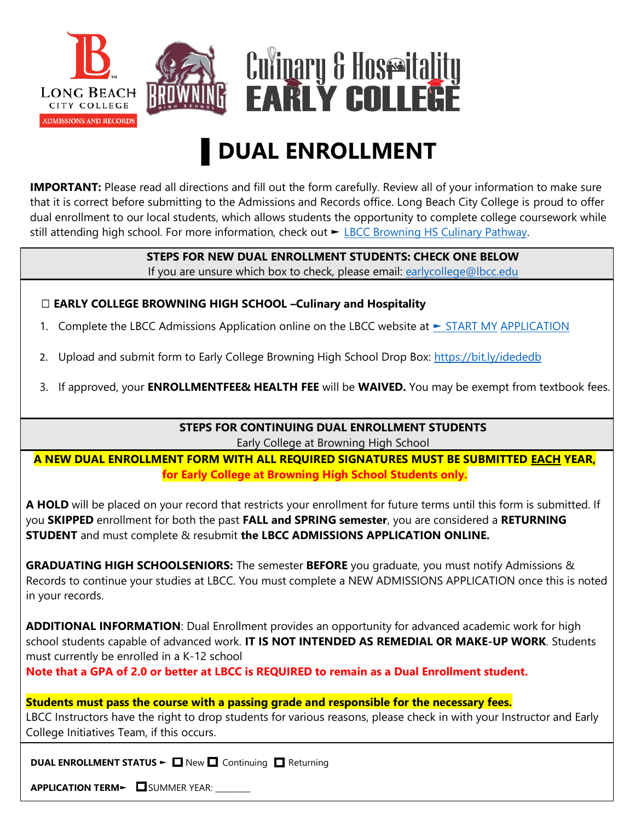

## ▌**DUAL ENROLLMENT**

**IMPORTANT:** Please read all directions and fill out the form carefully. Review all of your information to make sure that it is correct before submitting to the Admissions and Records office. Long Beach City College is proud to offer dual enrollment to our local students, which allows students the opportunity to complete college coursework while still attending high school. For more information, check out ► [LBCC Browning HS Culinary Pathway.](https://www.lbcc.edu/post/browning-hs-culinary-pathway)

## **STEPS FOR NEW DUAL ENROLLMENT STUDENTS: CHECK ONE BELOW**

If you are unsure which box to check, please email: [earlycollege@lbcc.edu](mailto:earlycollege@lbcc.edu)

## ☐ **EARLY COLLEGE BROWNING HIGH SCHOOL –Culinary and Hospitality**

- 1. Complete the LBCC Admissions Application online on the LBCC website at [►](https://www.lbcc.edu/post/start-my-application) [START MY](https://www.lbcc.edu/post/start-my-application) [APPLICATION](https://www.lbcc.edu/post/start-my-application)
- 2. Upload and submit form to Early College Browning High School Drop Box: https://bit.ly/idededb
- 3. If approved, your **ENROLLMENTFEE& HEALTH FEE** will be **WAIVED.** You may be exempt from textbook fees.

**STEPS FOR CONTINUING DUAL ENROLLMENT STUDENTS** Early College at Browning High School

**A NEW DUAL ENROLLMENT FORM WITH ALL REQUIRED SIGNATURES MUST BE SUBMITTED EACH YEAR, for Early College at Browning High School Students only.**

**A HOLD** will be placed on your record that restricts your enrollment for future terms until this form is submitted. If you **SKIPPED** enrollment for both the past **FALL and SPRING semester**, you are considered a **RETURNING STUDENT** and must complete & resubmit **the LBCC ADMISSIONS APPLICATION ONLINE.**

**GRADUATING HIGH SCHOOLSENIORS:** The semester **BEFORE** you graduate, you must notify Admissions & Records to continue your studies at LBCC. You must complete a NEW ADMISSIONS APPLICATION once this is noted in your records.

**ADDITIONAL INFORMATION**: Dual Enrollment provides an opportunity for advanced academic work for high school students capable of advanced work. **IT IS NOT INTENDED AS REMEDIAL OR MAKE-UP WORK**. Students must currently be enrolled in a K-12 school

**Note that a GPA of 2.0 or better at LBCC is REQUIRED to remain as a Dual Enrollment student.**

**Students must pass the course with a passing grade and responsible for the necessary fees.** LBCC Instructors have the right to drop students for various reasons, please check in with your Instructor and Early College Initiatives Team, if this occurs.

**DUAL ENROLLMENT STATUS ►** New **Q** Continuing Q Returning

**APPLICATION TERM►** SUMMER YEAR: